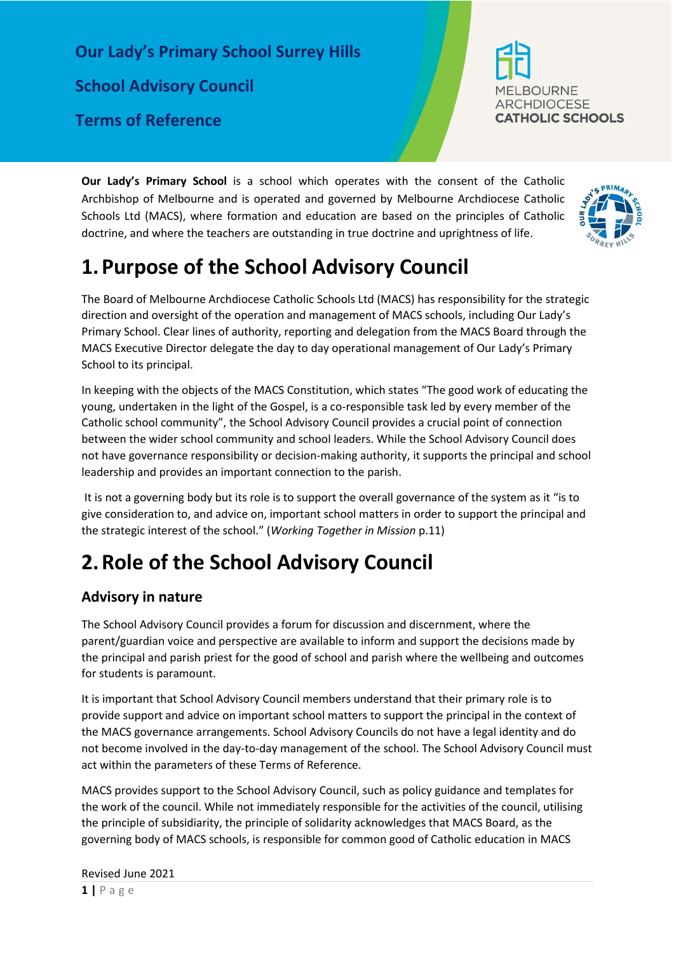**Our Lady's Primary School Surrey Hills School Advisory Council Terms of Reference**



**Our Lady's Primary School** is a school which operates with the consent of the Catholic Archbishop of Melbourne and is operated and governed by Melbourne Archdiocese Catholic Schools Ltd (MACS), where formation and education are based on the principles of Catholic doctrine, and where the teachers are outstanding in true doctrine and uprightness of life.



# **1.Purpose of the School Advisory Council**

The Board of Melbourne Archdiocese Catholic Schools Ltd (MACS) has responsibility for the strategic direction and oversight of the operation and management of MACS schools, including Our Lady's Primary School. Clear lines of authority, reporting and delegation from the MACS Board through the MACS Executive Director delegate the day to day operational management of Our Lady's Primary School to its principal.

In keeping with the objects of the MACS Constitution, which states "The good work of educating the young, undertaken in the light of the Gospel, is a co-responsible task led by every member of the Catholic school community", the School Advisory Council provides a crucial point of connection between the wider school community and school leaders. While the School Advisory Council does not have governance responsibility or decision-making authority, it supports the principal and school leadership and provides an important connection to the parish.

It is not a governing body but its role is to support the overall governance of the system as it "is to give consideration to, and advice on, important school matters in order to support the principal and the strategic interest of the school." (*Working Together in Mission* p.11)

# **2.Role of the School Advisory Council**

## **Advisory in nature**

The School Advisory Council provides a forum for discussion and discernment, where the parent/guardian voice and perspective are available to inform and support the decisions made by the principal and parish priest for the good of school and parish where the wellbeing and outcomes for students is paramount.

It is important that School Advisory Council members understand that their primary role is to provide support and advice on important school matters to support the principal in the context of the MACS governance arrangements. School Advisory Councils do not have a legal identity and do not become involved in the day-to-day management of the school. The School Advisory Council must act within the parameters of these Terms of Reference.

MACS provides support to the School Advisory Council, such as policy guidance and templates for the work of the council. While not immediately responsible for the activities of the council, utilising the principle of subsidiarity, the principle of solidarity acknowledges that MACS Board, as the governing body of MACS schools, is responsible for common good of Catholic education in MACS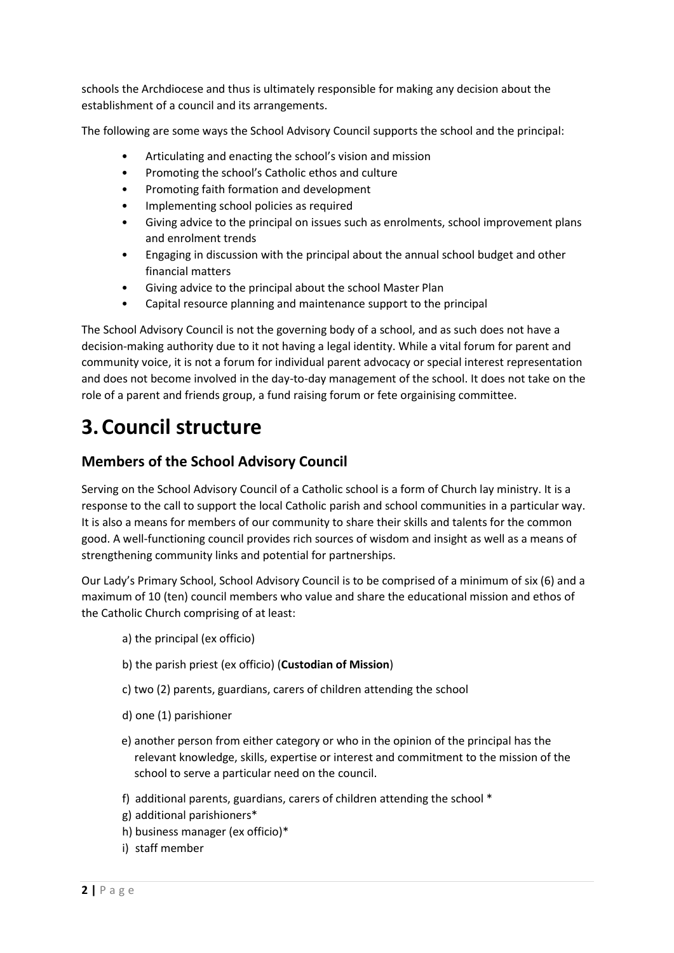schools the Archdiocese and thus is ultimately responsible for making any decision about the establishment of a council and its arrangements.

The following are some ways the School Advisory Council supports the school and the principal:

- Articulating and enacting the school's vision and mission
- Promoting the school's Catholic ethos and culture
- Promoting faith formation and development
- Implementing school policies as required
- Giving advice to the principal on issues such as enrolments, school improvement plans and enrolment trends
- Engaging in discussion with the principal about the annual school budget and other financial matters
- Giving advice to the principal about the school Master Plan
- Capital resource planning and maintenance support to the principal

The School Advisory Council is not the governing body of a school, and as such does not have a decision-making authority due to it not having a legal identity. While a vital forum for parent and community voice, it is not a forum for individual parent advocacy or special interest representation and does not become involved in the day-to-day management of the school. It does not take on the role of a parent and friends group, a fund raising forum or fete orgainising committee.

# **3.Council structure**

## **Members of the School Advisory Council**

Serving on the School Advisory Council of a Catholic school is a form of Church lay ministry. It is a response to the call to support the local Catholic parish and school communities in a particular way. It is also a means for members of our community to share their skills and talents for the common good. A well-functioning council provides rich sources of wisdom and insight as well as a means of strengthening community links and potential for partnerships.

Our Lady's Primary School, School Advisory Council is to be comprised of a minimum of six (6) and a maximum of 10 (ten) council members who value and share the educational mission and ethos of the Catholic Church comprising of at least:

- a) the principal (ex officio)
- b) the parish priest (ex officio) (**Custodian of Mission**)
- c) two (2) parents, guardians, carers of children attending the school
- d) one (1) parishioner
- e) another person from either category or who in the opinion of the principal has the relevant knowledge, skills, expertise or interest and commitment to the mission of the school to serve a particular need on the council.
- f) additional parents, guardians, carers of children attending the school \*
- g) additional parishioners\*
- h) business manager (ex officio)\*
- i) staff member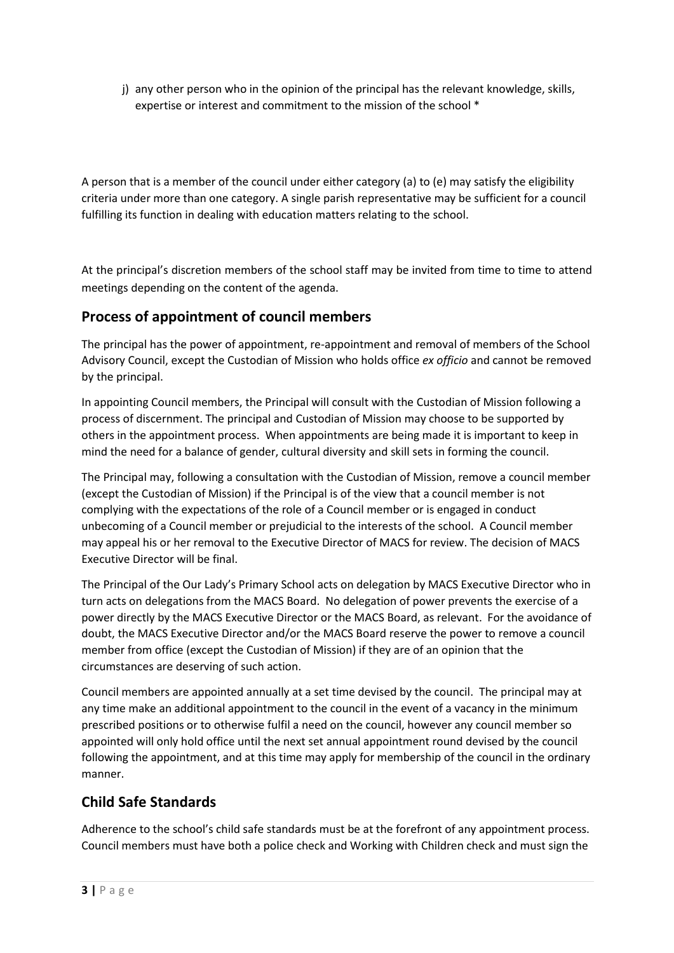j) any other person who in the opinion of the principal has the relevant knowledge, skills, expertise or interest and commitment to the mission of the school \*

A person that is a member of the council under either category (a) to (e) may satisfy the eligibility criteria under more than one category. A single parish representative may be sufficient for a council fulfilling its function in dealing with education matters relating to the school.

At the principal's discretion members of the school staff may be invited from time to time to attend meetings depending on the content of the agenda.

## **Process of appointment of council members**

The principal has the power of appointment, re-appointment and removal of members of the School Advisory Council, except the Custodian of Mission who holds office *ex officio* and cannot be removed by the principal.

In appointing Council members, the Principal will consult with the Custodian of Mission following a process of discernment. The principal and Custodian of Mission may choose to be supported by others in the appointment process. When appointments are being made it is important to keep in mind the need for a balance of gender, cultural diversity and skill sets in forming the council.

The Principal may, following a consultation with the Custodian of Mission, remove a council member (except the Custodian of Mission) if the Principal is of the view that a council member is not complying with the expectations of the role of a Council member or is engaged in conduct unbecoming of a Council member or prejudicial to the interests of the school. A Council member may appeal his or her removal to the Executive Director of MACS for review. The decision of MACS Executive Director will be final.

The Principal of the Our Lady's Primary School acts on delegation by MACS Executive Director who in turn acts on delegations from the MACS Board. No delegation of power prevents the exercise of a power directly by the MACS Executive Director or the MACS Board, as relevant. For the avoidance of doubt, the MACS Executive Director and/or the MACS Board reserve the power to remove a council member from office (except the Custodian of Mission) if they are of an opinion that the circumstances are deserving of such action.

Council members are appointed annually at a set time devised by the council. The principal may at any time make an additional appointment to the council in the event of a vacancy in the minimum prescribed positions or to otherwise fulfil a need on the council, however any council member so appointed will only hold office until the next set annual appointment round devised by the council following the appointment, and at this time may apply for membership of the council in the ordinary manner.

## **Child Safe Standards**

Adherence to the school's child safe standards must be at the forefront of any appointment process. Council members must have both a police check and Working with Children check and must sign the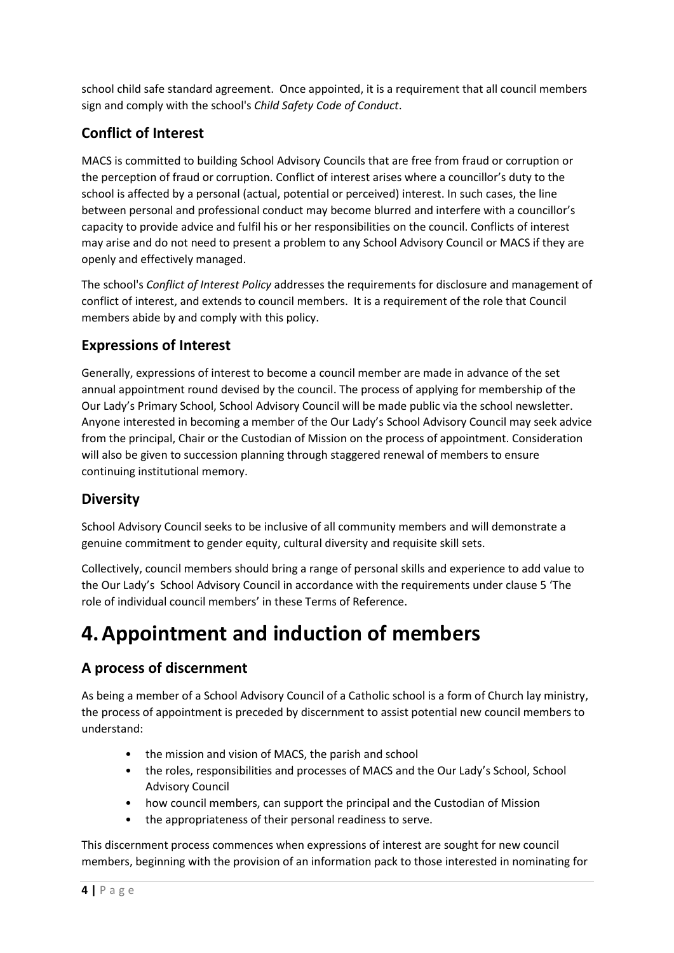school child safe standard agreement. Once appointed, it is a requirement that all council members sign and comply with the school's *Child Safety Code of Conduct*.

## **Conflict of Interest**

MACS is committed to building School Advisory Councils that are free from fraud or corruption or the perception of fraud or corruption. Conflict of interest arises where a councillor's duty to the school is affected by a personal (actual, potential or perceived) interest. In such cases, the line between personal and professional conduct may become blurred and interfere with a councillor's capacity to provide advice and fulfil his or her responsibilities on the council. Conflicts of interest may arise and do not need to present a problem to any School Advisory Council or MACS if they are openly and effectively managed.

The school's *Conflict of Interest Policy* addresses the requirements for disclosure and management of conflict of interest, and extends to council members. It is a requirement of the role that Council members abide by and comply with this policy.

## **Expressions of Interest**

Generally, expressions of interest to become a council member are made in advance of the set annual appointment round devised by the council. The process of applying for membership of the Our Lady's Primary School, School Advisory Council will be made public via the school newsletter. Anyone interested in becoming a member of the Our Lady's School Advisory Council may seek advice from the principal, Chair or the Custodian of Mission on the process of appointment. Consideration will also be given to succession planning through staggered renewal of members to ensure continuing institutional memory.

## **Diversity**

School Advisory Council seeks to be inclusive of all community members and will demonstrate a genuine commitment to gender equity, cultural diversity and requisite skill sets.

Collectively, council members should bring a range of personal skills and experience to add value to the Our Lady's School Advisory Council in accordance with the requirements under clause [5](#page-5-0) 'The role of individual council members' in these Terms of Reference.

# **4.Appointment and induction of members**

## **A process of discernment**

As being a member of a School Advisory Council of a Catholic school is a form of Church lay ministry, the process of appointment is preceded by discernment to assist potential new council members to understand:

- the mission and vision of MACS, the parish and school
- the roles, responsibilities and processes of MACS and the Our Lady's School, School Advisory Council
- how council members, can support the principal and the Custodian of Mission
- the appropriateness of their personal readiness to serve.

This discernment process commences when expressions of interest are sought for new council members, beginning with the provision of an information pack to those interested in nominating for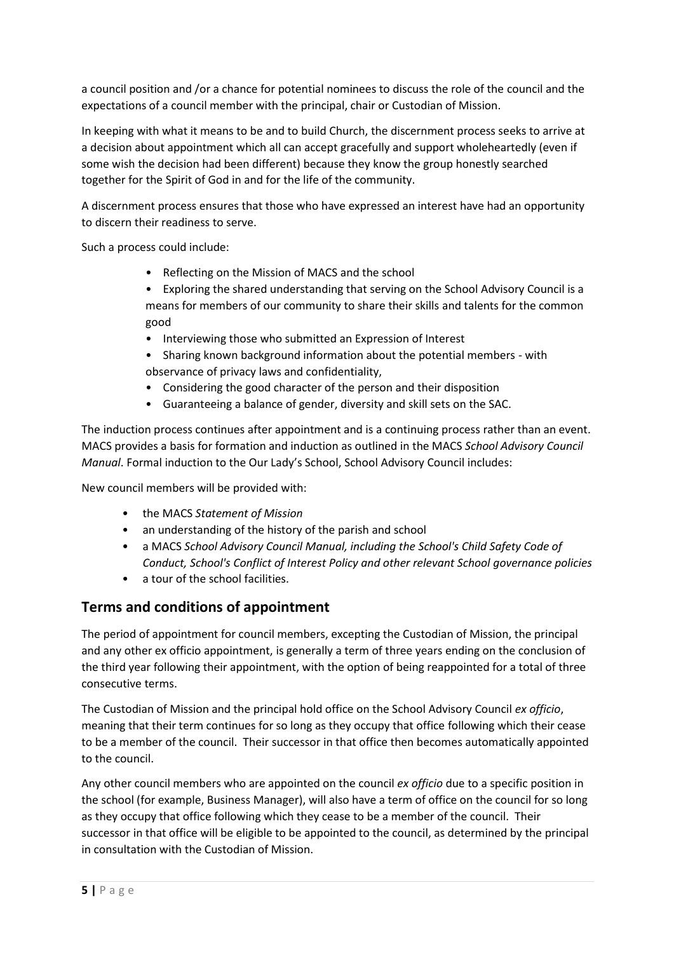a council position and /or a chance for potential nominees to discuss the role of the council and the expectations of a council member with the principal, chair or Custodian of Mission.

In keeping with what it means to be and to build Church, the discernment process seeks to arrive at a decision about appointment which all can accept gracefully and support wholeheartedly (even if some wish the decision had been different) because they know the group honestly searched together for the Spirit of God in and for the life of the community.

A discernment process ensures that those who have expressed an interest have had an opportunity to discern their readiness to serve.

Such a process could include:

- Reflecting on the Mission of MACS and the school
- Exploring the shared understanding that serving on the School Advisory Council is a means for members of our community to share their skills and talents for the common good
- Interviewing those who submitted an Expression of Interest
- Sharing known background information about the potential members with observance of privacy laws and confidentiality,
- Considering the good character of the person and their disposition
- Guaranteeing a balance of gender, diversity and skill sets on the SAC.

The induction process continues after appointment and is a continuing process rather than an event. MACS provides a basis for formation and induction as outlined in the MACS *School Advisory Council Manual*. Formal induction to the Our Lady's School, School Advisory Council includes:

New council members will be provided with:

- the MACS *Statement of Mission*
- an understanding of the history of the parish and school
- a MACS *School Advisory Council Manual, including the School's Child Safety Code of Conduct, School's Conflict of Interest Policy and other relevant School governance policies*
- a tour of the school facilities.

### **Terms and conditions of appointment**

The period of appointment for council members, excepting the Custodian of Mission, the principal and any other ex officio appointment, is generally a term of three years ending on the conclusion of the third year following their appointment, with the option of being reappointed for a total of three consecutive terms.

The Custodian of Mission and the principal hold office on the School Advisory Council *ex officio*, meaning that their term continues for so long as they occupy that office following which their cease to be a member of the council. Their successor in that office then becomes automatically appointed to the council.

Any other council members who are appointed on the council *ex officio* due to a specific position in the school (for example, Business Manager), will also have a term of office on the council for so long as they occupy that office following which they cease to be a member of the council. Their successor in that office will be eligible to be appointed to the council, as determined by the principal in consultation with the Custodian of Mission.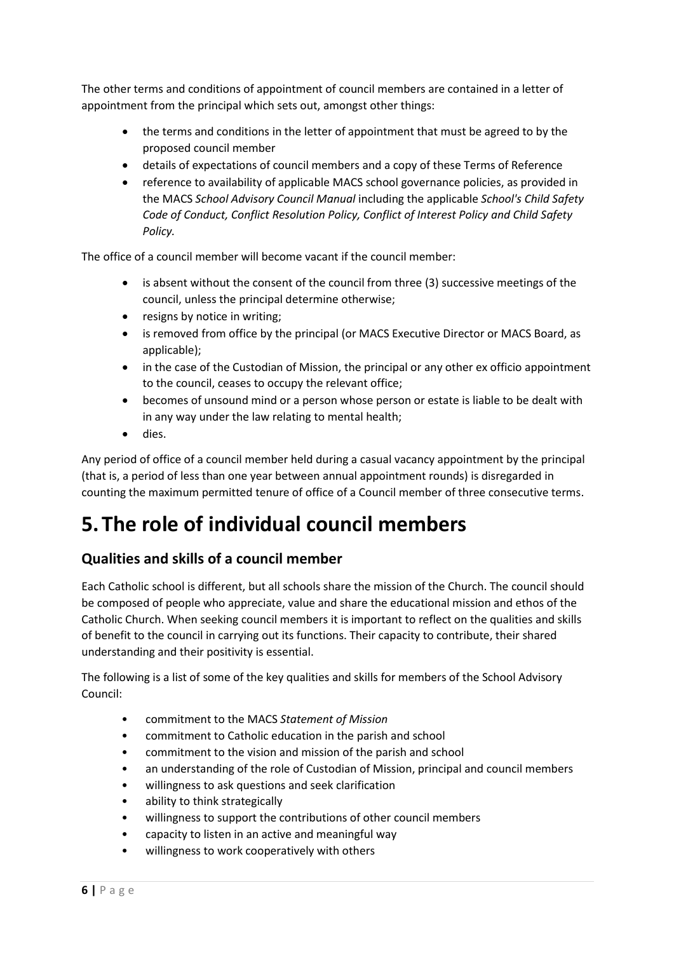The other terms and conditions of appointment of council members are contained in a letter of appointment from the principal which sets out, amongst other things:

- the terms and conditions in the letter of appointment that must be agreed to by the proposed council member
- details of expectations of council members and a copy of these Terms of Reference
- reference to availability of applicable MACS school governance policies, as provided in the MACS *School Advisory Council Manual* including the applicable *School's Child Safety Code of Conduct, Conflict Resolution Policy, Conflict of Interest Policy and Child Safety Policy.*

The office of a council member will become vacant if the council member:

- is absent without the consent of the council from three (3) successive meetings of the council, unless the principal determine otherwise;
- resigns by notice in writing;
- is removed from office by the principal (or MACS Executive Director or MACS Board, as applicable);
- in the case of the Custodian of Mission, the principal or any other ex officio appointment to the council, ceases to occupy the relevant office;
- becomes of unsound mind or a person whose person or estate is liable to be dealt with in any way under the law relating to mental health;
- dies.

Any period of office of a council member held during a casual vacancy appointment by the principal (that is, a period of less than one year between annual appointment rounds) is disregarded in counting the maximum permitted tenure of office of a Council member of three consecutive terms.

# <span id="page-5-0"></span>**5.The role of individual council members**

## **Qualities and skills of a council member**

Each Catholic school is different, but all schools share the mission of the Church. The council should be composed of people who appreciate, value and share the educational mission and ethos of the Catholic Church. When seeking council members it is important to reflect on the qualities and skills of benefit to the council in carrying out its functions. Their capacity to contribute, their shared understanding and their positivity is essential.

The following is a list of some of the key qualities and skills for members of the School Advisory Council:

- commitment to the MACS *Statement of Mission*
- commitment to Catholic education in the parish and school
- commitment to the vision and mission of the parish and school
- an understanding of the role of Custodian of Mission, principal and council members
- willingness to ask questions and seek clarification
- ability to think strategically
- willingness to support the contributions of other council members
- capacity to listen in an active and meaningful way
- willingness to work cooperatively with others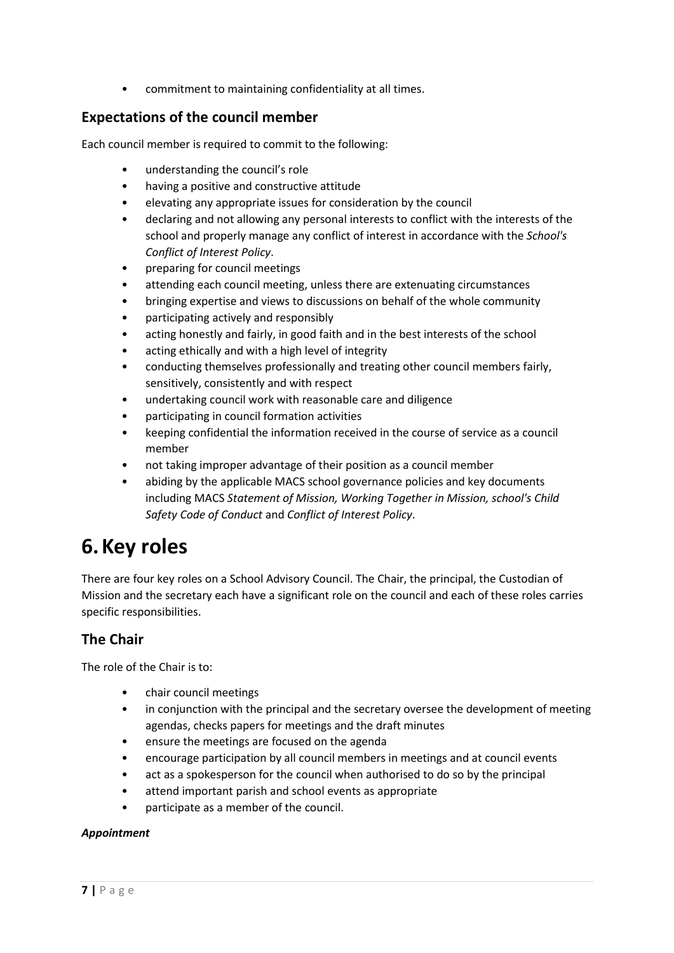• commitment to maintaining confidentiality at all times.

### **Expectations of the council member**

Each council member is required to commit to the following:

- understanding the council's role
- having a positive and constructive attitude
- elevating any appropriate issues for consideration by the council
- declaring and not allowing any personal interests to conflict with the interests of the school and properly manage any conflict of interest in accordance with the *School's Conflict of Interest Policy*.
- preparing for council meetings
- attending each council meeting, unless there are extenuating circumstances
- bringing expertise and views to discussions on behalf of the whole community
- participating actively and responsibly
- acting honestly and fairly, in good faith and in the best interests of the school
- acting ethically and with a high level of integrity
- conducting themselves professionally and treating other council members fairly, sensitively, consistently and with respect
- undertaking council work with reasonable care and diligence
- participating in council formation activities
- keeping confidential the information received in the course of service as a council member
- not taking improper advantage of their position as a council member
- abiding by the applicable MACS school governance policies and key documents including MACS *Statement of Mission, Working Together in Mission, school's Child Safety Code of Conduct* and *Conflict of Interest Policy*.

## **6.Key roles**

There are four key roles on a School Advisory Council. The Chair, the principal, the Custodian of Mission and the secretary each have a significant role on the council and each of these roles carries specific responsibilities.

### **The Chair**

The role of the Chair is to:

- chair council meetings
- in conjunction with the principal and the secretary oversee the development of meeting agendas, checks papers for meetings and the draft minutes
- ensure the meetings are focused on the agenda
- encourage participation by all council members in meetings and at council events
- act as a spokesperson for the council when authorised to do so by the principal
- attend important parish and school events as appropriate
- participate as a member of the council.

#### *Appointment*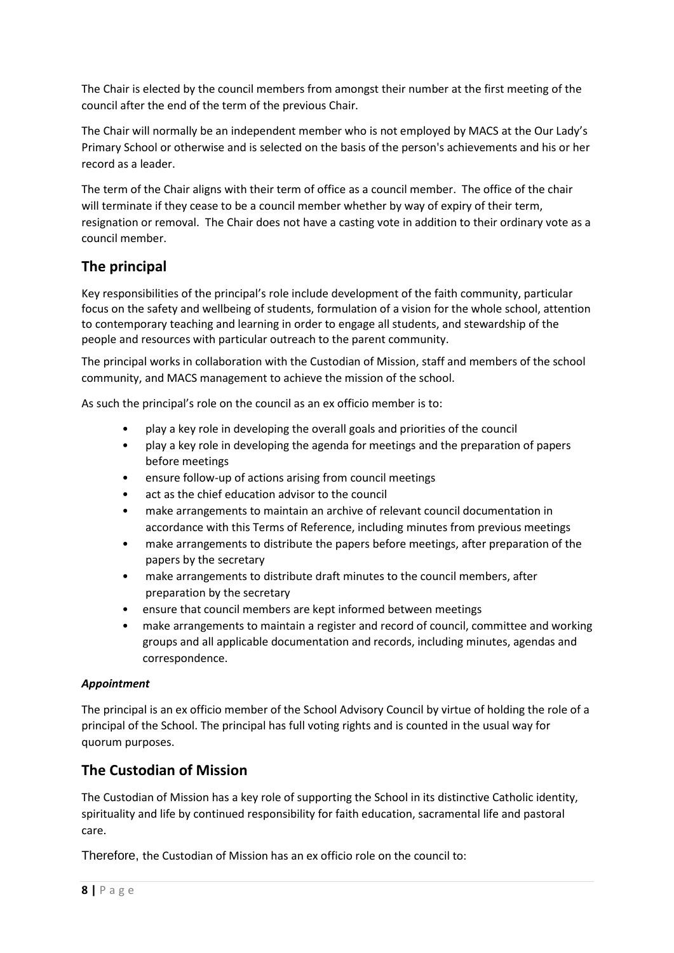The Chair is elected by the council members from amongst their number at the first meeting of the council after the end of the term of the previous Chair.

The Chair will normally be an independent member who is not employed by MACS at the Our Lady's Primary School or otherwise and is selected on the basis of the person's achievements and his or her record as a leader.

The term of the Chair aligns with their term of office as a council member. The office of the chair will terminate if they cease to be a council member whether by way of expiry of their term, resignation or removal. The Chair does not have a casting vote in addition to their ordinary vote as a council member.

## **The principal**

Key responsibilities of the principal's role include development of the faith community, particular focus on the safety and wellbeing of students, formulation of a vision for the whole school, attention to contemporary teaching and learning in order to engage all students, and stewardship of the people and resources with particular outreach to the parent community.

The principal works in collaboration with the Custodian of Mission, staff and members of the school community, and MACS management to achieve the mission of the school.

As such the principal's role on the council as an ex officio member is to:

- play a key role in developing the overall goals and priorities of the council
- play a key role in developing the agenda for meetings and the preparation of papers before meetings
- ensure follow-up of actions arising from council meetings
- act as the chief education advisor to the council
- make arrangements to maintain an archive of relevant council documentation in accordance with this Terms of Reference, including minutes from previous meetings
- make arrangements to distribute the papers before meetings, after preparation of the papers by the secretary
- make arrangements to distribute draft minutes to the council members, after preparation by the secretary
- ensure that council members are kept informed between meetings
- make arrangements to maintain a register and record of council, committee and working groups and all applicable documentation and records, including minutes, agendas and correspondence.

#### *Appointment*

The principal is an ex officio member of the School Advisory Council by virtue of holding the role of a principal of the School. The principal has full voting rights and is counted in the usual way for quorum purposes.

### **The Custodian of Mission**

The Custodian of Mission has a key role of supporting the School in its distinctive Catholic identity, spirituality and life by continued responsibility for faith education, sacramental life and pastoral care.

Therefore, the Custodian of Mission has an ex officio role on the council to: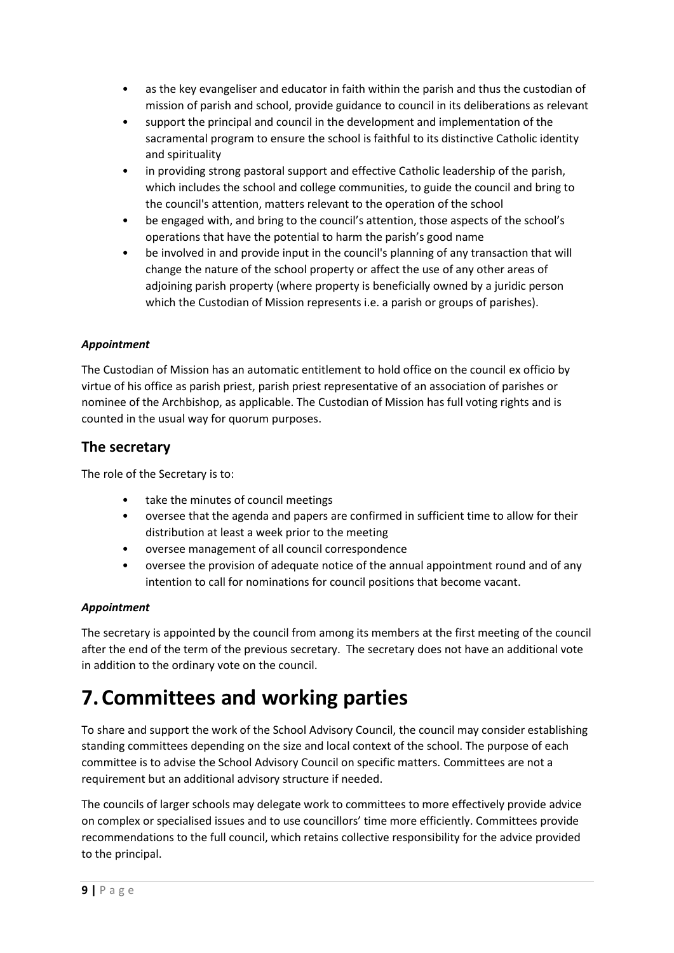- as the key evangeliser and educator in faith within the parish and thus the custodian of mission of parish and school, provide guidance to council in its deliberations as relevant
- support the principal and council in the development and implementation of the sacramental program to ensure the school is faithful to its distinctive Catholic identity and spirituality
- in providing strong pastoral support and effective Catholic leadership of the parish, which includes the school and college communities, to guide the council and bring to the council's attention, matters relevant to the operation of the school
- be engaged with, and bring to the council's attention, those aspects of the school's operations that have the potential to harm the parish's good name
- be involved in and provide input in the council's planning of any transaction that will change the nature of the school property or affect the use of any other areas of adjoining parish property (where property is beneficially owned by a juridic person which the Custodian of Mission represents i.e. a parish or groups of parishes).

#### *Appointment*

The Custodian of Mission has an automatic entitlement to hold office on the council ex officio by virtue of his office as parish priest, parish priest representative of an association of parishes or nominee of the Archbishop, as applicable. The Custodian of Mission has full voting rights and is counted in the usual way for quorum purposes.

### **The secretary**

The role of the Secretary is to:

- take the minutes of council meetings
- oversee that the agenda and papers are confirmed in sufficient time to allow for their distribution at least a week prior to the meeting
- oversee management of all council correspondence
- oversee the provision of adequate notice of the annual appointment round and of any intention to call for nominations for council positions that become vacant.

### *Appointment*

The secretary is appointed by the council from among its members at the first meeting of the council after the end of the term of the previous secretary. The secretary does not have an additional vote in addition to the ordinary vote on the council.

# **7.Committees and working parties**

To share and support the work of the School Advisory Council, the council may consider establishing standing committees depending on the size and local context of the school. The purpose of each committee is to advise the School Advisory Council on specific matters. Committees are not a requirement but an additional advisory structure if needed.

The councils of larger schools may delegate work to committees to more effectively provide advice on complex or specialised issues and to use councillors' time more efficiently. Committees provide recommendations to the full council, which retains collective responsibility for the advice provided to the principal.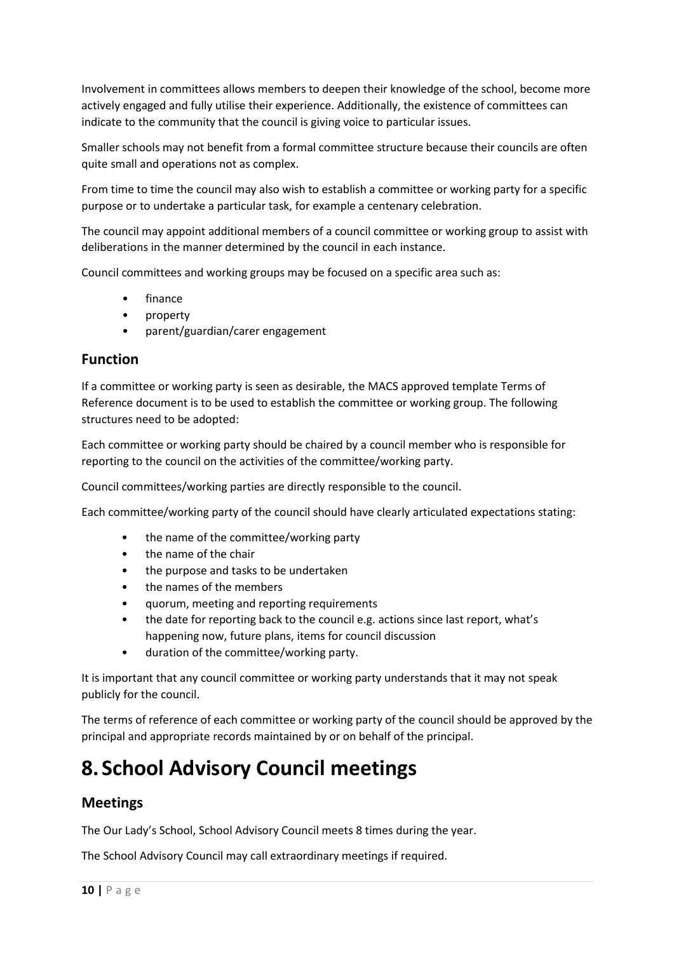Involvement in committees allows members to deepen their knowledge of the school, become more actively engaged and fully utilise their experience. Additionally, the existence of committees can indicate to the community that the council is giving voice to particular issues.

Smaller schools may not benefit from a formal committee structure because their councils are often quite small and operations not as complex.

From time to time the council may also wish to establish a committee or working party for a specific purpose or to undertake a particular task, for example a centenary celebration.

The council may appoint additional members of a council committee or working group to assist with deliberations in the manner determined by the council in each instance.

Council committees and working groups may be focused on a specific area such as:

- finance
- property
- parent/guardian/carer engagement

### **Function**

If a committee or working party is seen as desirable, the MACS approved template Terms of Reference document is to be used to establish the committee or working group. The following structures need to be adopted:

Each committee or working party should be chaired by a council member who is responsible for reporting to the council on the activities of the committee/working party.

Council committees/working parties are directly responsible to the council.

Each committee/working party of the council should have clearly articulated expectations stating:

- the name of the committee/working party
- the name of the chair
- the purpose and tasks to be undertaken
- the names of the members
- quorum, meeting and reporting requirements
- the date for reporting back to the council e.g. actions since last report, what's happening now, future plans, items for council discussion
- duration of the committee/working party.

It is important that any council committee or working party understands that it may not speak publicly for the council.

The terms of reference of each committee or working party of the council should be approved by the principal and appropriate records maintained by or on behalf of the principal.

# **8. School Advisory Council meetings**

### **Meetings**

The Our Lady's School, School Advisory Council meets 8 times during the year.

The School Advisory Council may call extraordinary meetings if required.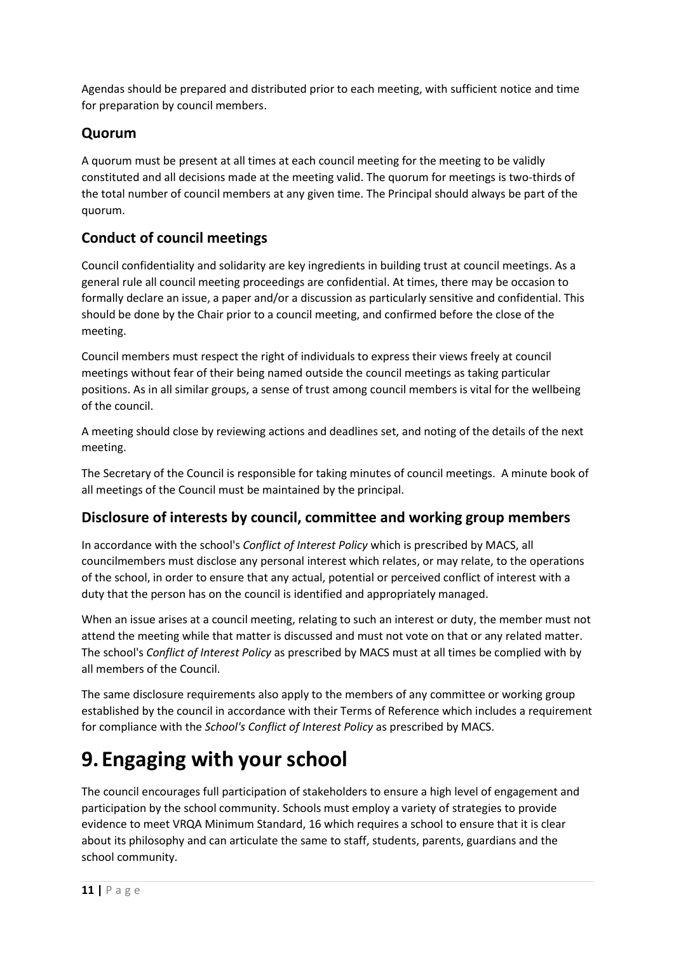Agendas should be prepared and distributed prior to each meeting, with sufficient notice and time for preparation by council members.

## **Quorum**

A quorum must be present at all times at each council meeting for the meeting to be validly constituted and all decisions made at the meeting valid. The quorum for meetings is two-thirds of the total number of council members at any given time. The Principal should always be part of the quorum.

## **Conduct of council meetings**

Council confidentiality and solidarity are key ingredients in building trust at council meetings. As a general rule all council meeting proceedings are confidential. At times, there may be occasion to formally declare an issue, a paper and/or a discussion as particularly sensitive and confidential. This should be done by the Chair prior to a council meeting, and confirmed before the close of the meeting.

Council members must respect the right of individuals to express their views freely at council meetings without fear of their being named outside the council meetings as taking particular positions. As in all similar groups, a sense of trust among council members is vital for the wellbeing of the council.

A meeting should close by reviewing actions and deadlines set, and noting of the details of the next meeting.

The Secretary of the Council is responsible for taking minutes of council meetings. A minute book of all meetings of the Council must be maintained by the principal.

## **Disclosure of interests by council, committee and working group members**

In accordance with the school's *Conflict of Interest Policy* which is prescribed by MACS, all councilmembers must disclose any personal interest which relates, or may relate, to the operations of the school, in order to ensure that any actual, potential or perceived conflict of interest with a duty that the person has on the council is identified and appropriately managed.

When an issue arises at a council meeting, relating to such an interest or duty, the member must not attend the meeting while that matter is discussed and must not vote on that or any related matter. The school's *Conflict of Interest Policy* as prescribed by MACS must at all times be complied with by all members of the Council.

The same disclosure requirements also apply to the members of any committee or working group established by the council in accordance with their Terms of Reference which includes a requirement for compliance with the *School's Conflict of Interest Policy* as prescribed by MACS.

# **9. Engaging with your school**

The council encourages full participation of stakeholders to ensure a high level of engagement and participation by the school community. Schools must employ a variety of strategies to provide evidence to meet VRQA Minimum Standard, 16 which requires a school to ensure that it is clear about its philosophy and can articulate the same to staff, students, parents, guardians and the school community.